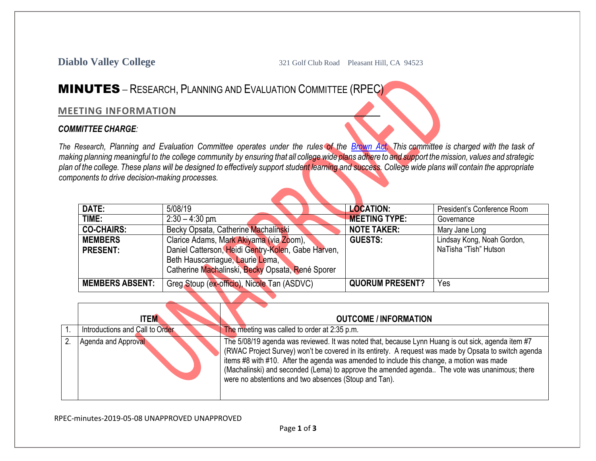**Diablo Valley College** 321 Golf Club Road Pleasant Hill, CA 94523

## MINUTES – RESEARCH, PLANNING AND EVALUATION COMMITTEE (RPEC)

## **MEETING INFORMATION**

## *COMMITTEE CHARGE:*

The Research, Planning and Evaluation Committee operates under the rules of the [Brown](http://ag.ca.gov/publications/2003_Intro_BrownAct.pdf) Act. This committee is charged with the task of making planning meaningful to the college community by ensuring that all college wide plans adhere to and support the mission, values and strategic plan of the college. These plans will be designed to effectively support student learning and success. College wide plans will contain the appropriate *components to drive decision-making processes.*

| DATE:                  | 5/08/19                                            | <b>LOCATION:</b>       | President's Conference Room |
|------------------------|----------------------------------------------------|------------------------|-----------------------------|
| TIME:                  | $2:30 - 4:30$ pm.                                  | <b>MEETING TYPE:</b>   | Governance                  |
| <b>CO-CHAIRS:</b>      | Becky Opsata, Catherine Machalinski                | <b>NOTE TAKER:</b>     | Mary Jane Long              |
| <b>MEMBERS</b>         | Clarice Adams, Mark Akiyama (via Zoom),            | <b>GUESTS:</b>         | Lindsay Kong, Noah Gordon,  |
| <b>PRESENT:</b>        | Daniel Catterson, Heidi Gentry-Kolen, Gabe Harven, |                        | NaTisha "Tish" Hutson       |
|                        | Beth Hauscarriague, Laurie Lema,                   |                        |                             |
|                        | Catherine Machalinski, Becky Opsata, René Sporer   |                        |                             |
| <b>MEMBERS ABSENT:</b> | Greg Stoup (ex-officio), Nicole Tan (ASDVC)        | <b>QUORUM PRESENT?</b> | Yes                         |

|    | <b>ITEM</b>                     | <b>OUTCOME / INFORMATION</b>                                                                                                                                                                                                                                                                                                                                                                                                                                       |
|----|---------------------------------|--------------------------------------------------------------------------------------------------------------------------------------------------------------------------------------------------------------------------------------------------------------------------------------------------------------------------------------------------------------------------------------------------------------------------------------------------------------------|
|    | Introductions and Call to Order | The meeting was called to order at 2:35 p.m.                                                                                                                                                                                                                                                                                                                                                                                                                       |
| 2. | Agenda and Approval             | The 5/08/19 agenda was reviewed. It was noted that, because Lynn Huang is out sick, agenda item #7<br>(RWAC Project Survey) won't be covered in its entirety. A request was made by Opsata to switch agenda<br>items #8 with #10. After the agenda was amended to include this change, a motion was made<br>(Machalinski) and seconded (Lema) to approve the amended agenda The vote was unanimous; there<br>were no abstentions and two absences (Stoup and Tan). |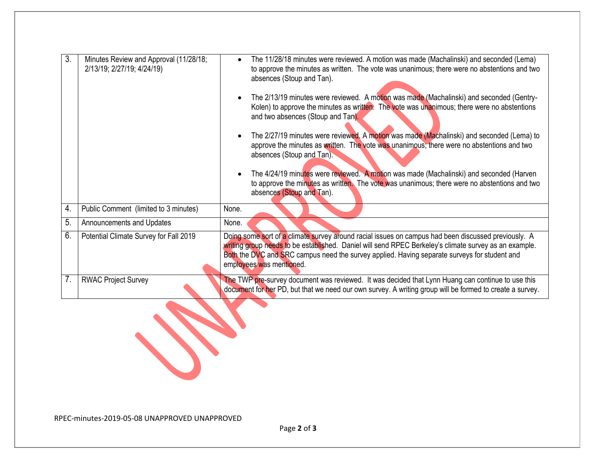| 3. | Minutes Review and Approval (11/28/18;<br>2/13/19; 2/27/19; 4/24/19) | The 11/28/18 minutes were reviewed. A motion was made (Machalinski) and seconded (Lema)<br>$\bullet$<br>to approve the minutes as written. The vote was unanimous; there were no abstentions and two<br>absences (Stoup and Tan).<br>The 2/13/19 minutes were reviewed. A motion was made (Machalinski) and seconded (Gentry-<br>Kolen) to approve the minutes as written. The vote was unanimous; there were no abstentions<br>and two absences (Stoup and Tan).<br>The 2/27/19 minutes were reviewed. A motion was made (Machalinski) and seconded (Lema) to<br>$\bullet$<br>approve the minutes as written. The vote was unanimous; there were no abstentions and two<br>absences (Stoup and Tan).<br>The 4/24/19 minutes were reviewed. A motion was made (Machalinski) and seconded (Harven<br>to approve the minutes as written. The vote was unanimous; there were no abstentions and two<br>absences (Stoup and Tan). |
|----|----------------------------------------------------------------------|-------------------------------------------------------------------------------------------------------------------------------------------------------------------------------------------------------------------------------------------------------------------------------------------------------------------------------------------------------------------------------------------------------------------------------------------------------------------------------------------------------------------------------------------------------------------------------------------------------------------------------------------------------------------------------------------------------------------------------------------------------------------------------------------------------------------------------------------------------------------------------------------------------------------------------|
| 4. | Public Comment (limited to 3 minutes)                                | None.                                                                                                                                                                                                                                                                                                                                                                                                                                                                                                                                                                                                                                                                                                                                                                                                                                                                                                                         |
| 5. | Announcements and Updates                                            | None.                                                                                                                                                                                                                                                                                                                                                                                                                                                                                                                                                                                                                                                                                                                                                                                                                                                                                                                         |
| 6. | Potential Climate Survey for Fall 2019                               | Doing some sort of a climate survey around racial issues on campus had been discussed previously. A<br>writing group needs to be established. Daniel will send RPEC Berkeley's climate survey as an example.<br>Both the DVC and SRC campus need the survey applied. Having separate surveys for student and<br>employees was mentioned.                                                                                                                                                                                                                                                                                                                                                                                                                                                                                                                                                                                      |
| 7. | <b>RWAC Project Survey</b>                                           | The TWP pre-survey document was reviewed. It was decided that Lynn Huang can continue to use this<br>document for her PD, but that we need our own survey. A writing group will be formed to create a survey.                                                                                                                                                                                                                                                                                                                                                                                                                                                                                                                                                                                                                                                                                                                 |
|    |                                                                      |                                                                                                                                                                                                                                                                                                                                                                                                                                                                                                                                                                                                                                                                                                                                                                                                                                                                                                                               |